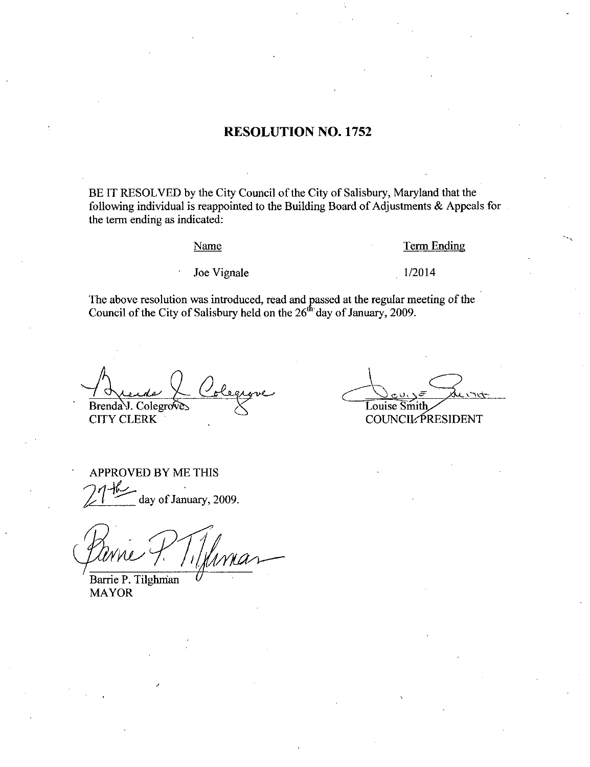## RESOLUTION NO. 1752

BE IT RESOLVED by the City Council of the City of Salisbury, Maryland that the following individual is reappointed to the Building Board of Adjustments  $\&$  Appeals for the term ending as indicated

#### Name

### Term Ending

Joe Vignale

Term E<br>1/2014

The above resolution was introduced, read and passed at the regular meeting of the Council of the City of Salisbury held on the 26<sup>th</sup> day of January, 2009.

Brenda J. Colegrove

CITY CLERK

Louise Smith du vroit

COUNCIL PRESIDENT

APPROVED BY ME THIS 4 reday.<br>PROVE day of January, 2009.

White<br>Mill<br>Trie B. Til blegrove<br>Stegerove<br>15<br>Innar

Barrie P. Tilghman MAYOR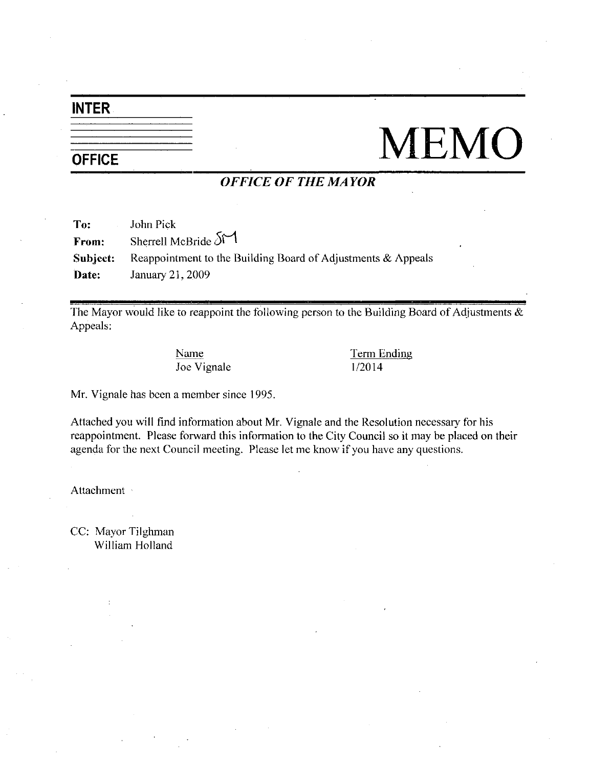# INTER

# **OFFICE** MEMO

## OFFICE OF THE MAYOR

| To:      | John Pick                                                    |
|----------|--------------------------------------------------------------|
| From:    | Sherrell McBride $51$                                        |
| Subject: | Reappointment to the Building Board of Adjustments & Appeals |
| Date:    | January 21, 2009                                             |

The Mayor would like to reappoint the following person to the Building Board of Adjustments  $\&$ Appeals Name<br>Joe Vignale 1/2014

Name Term Ending

Mr. Vignale has been a member since 1995.

Attached you will find information about Mr. Vignale and the Resolution necessary for his reappointment. Please forward this information to the City Council so it may be placed on their agenda for the next Council meeting. Please let me know if you have any questions.

Attachment

CC: Mayor Tilghman William Holland